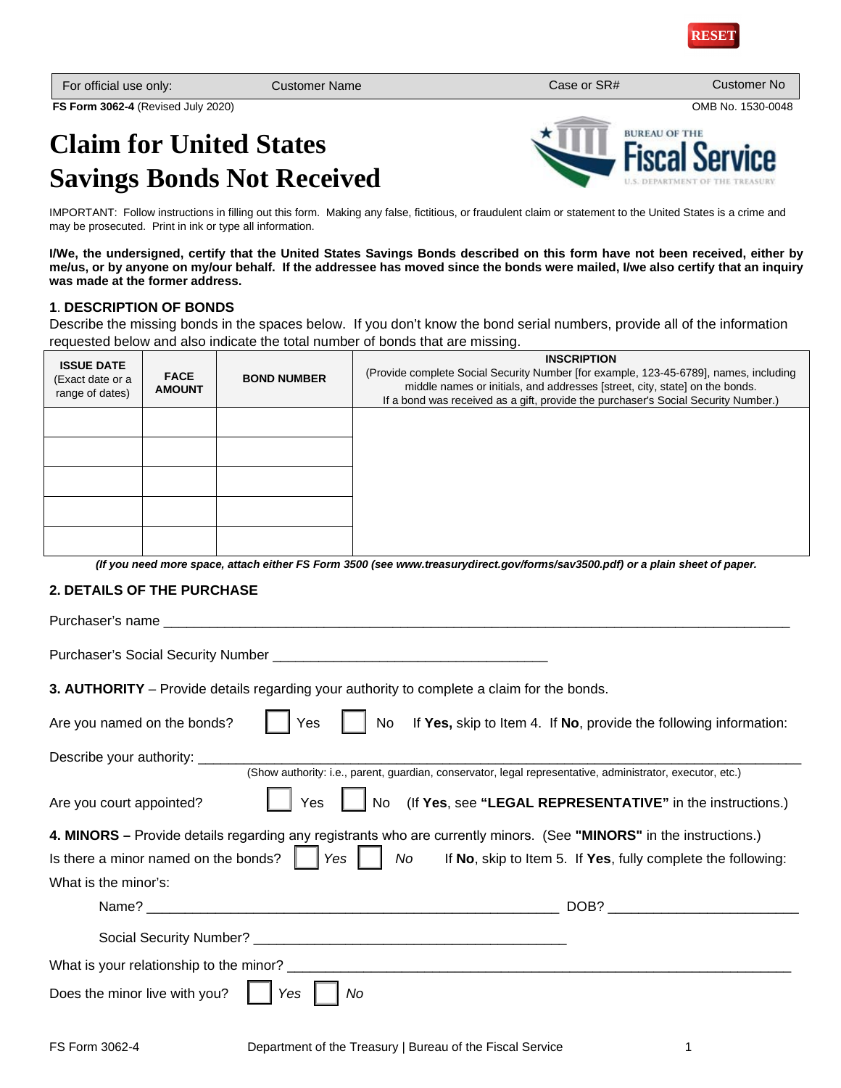**BUREAU OF THE** 

| For official use only:             | Customer Name⊮ | Case or SR# | Customer No       |
|------------------------------------|----------------|-------------|-------------------|
| FS Form 3062-4 (Revised July 2020) |                |             | OMB No. 1530-0048 |

# **Claim for United States Savings Bonds Not Received**

IMPORTANT: Follow instructions in filling out this form. Making any false, fictitious, or fraudulent claim or statement to the United States is a crime and may be prosecuted. Print in ink or type all information.

**I/We, the undersigned, certify that the United States Savings Bonds described on this form have not been received, either by me/us, or by anyone on my/our behalf. If the addressee has moved since the bonds were mailed, I/we also certify that an inquiry was made at the former address.**

# **1**. **DESCRIPTION OF BONDS**

Describe the missing bonds in the spaces below. If you don't know the bond serial numbers, provide all of the information requested below and also indicate the total number of bonds that are missing.

| <b>ISSUE DATE</b><br>(Exact date or a<br>range of dates) | <b>FACE</b><br><b>AMOUNT</b> | <b>BOND NUMBER</b> | <b>INSCRIPTION</b><br>(Provide complete Social Security Number [for example, 123-45-6789], names, including<br>middle names or initials, and addresses [street, city, state] on the bonds.<br>If a bond was received as a gift, provide the purchaser's Social Security Number.) |
|----------------------------------------------------------|------------------------------|--------------------|----------------------------------------------------------------------------------------------------------------------------------------------------------------------------------------------------------------------------------------------------------------------------------|
|                                                          |                              |                    |                                                                                                                                                                                                                                                                                  |
|                                                          |                              |                    |                                                                                                                                                                                                                                                                                  |
|                                                          |                              |                    |                                                                                                                                                                                                                                                                                  |
|                                                          |                              |                    |                                                                                                                                                                                                                                                                                  |
|                                                          |                              |                    |                                                                                                                                                                                                                                                                                  |

*(If you need more space, attach either FS Form 3500 (see www.treasurydirect.gov/forms/sav3500.pdf) or a plain sheet of paper.* 

# **2. DETAILS OF THE PURCHASE**

Purchaser's name Purchaser's Social Security Number **3. AUTHORITY** – Provide details regarding your authority to complete a claim for the bonds.

| Are you named on the bonds?<br>Yes         | If Yes, skip to Item 4. If No, provide the following information:<br>No.                                                                                                                                                                                |
|--------------------------------------------|---------------------------------------------------------------------------------------------------------------------------------------------------------------------------------------------------------------------------------------------------------|
| Describe your authority: ___               | (Show authority: i.e., parent, guardian, conservator, legal representative, administrator, executor, etc.)                                                                                                                                              |
| Yes<br>Are you court appointed?            | No (If Yes, see "LEGAL REPRESENTATIVE" in the instructions.)                                                                                                                                                                                            |
|                                            | 4. MINORS - Provide details regarding any registrants who are currently minors. (See "MINORS" in the instructions.)<br>Is there a minor named on the bonds? $\ \cdot\ $ Yes $\ \cdot\ $ No If No, skip to Item 5. If Yes, fully complete the following: |
| What is the minor's:                       |                                                                                                                                                                                                                                                         |
|                                            | DOB?                                                                                                                                                                                                                                                    |
|                                            |                                                                                                                                                                                                                                                         |
| What is your relationship to the minor?    |                                                                                                                                                                                                                                                         |
| Does the minor live with you?<br>No<br>Yes |                                                                                                                                                                                                                                                         |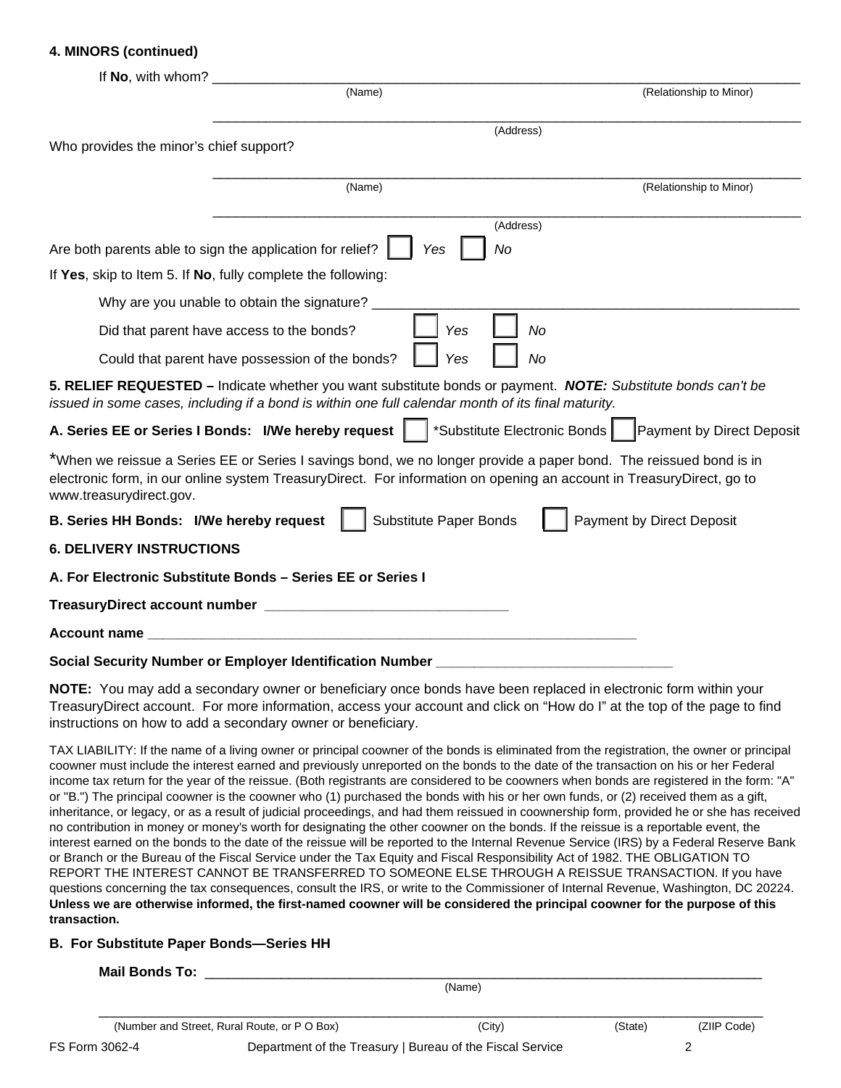# **4. MINORS (continued)**

| If No, with whom?                                            |                                                                                                                                                                                                                                                                                                             |                                                                                                                                            |
|--------------------------------------------------------------|-------------------------------------------------------------------------------------------------------------------------------------------------------------------------------------------------------------------------------------------------------------------------------------------------------------|--------------------------------------------------------------------------------------------------------------------------------------------|
|                                                              | (Name)                                                                                                                                                                                                                                                                                                      | (Relationship to Minor)                                                                                                                    |
|                                                              |                                                                                                                                                                                                                                                                                                             | (Address)                                                                                                                                  |
| Who provides the minor's chief support?                      |                                                                                                                                                                                                                                                                                                             |                                                                                                                                            |
|                                                              | (Name)                                                                                                                                                                                                                                                                                                      | (Relationship to Minor)                                                                                                                    |
|                                                              |                                                                                                                                                                                                                                                                                                             | (Address)                                                                                                                                  |
| Are both parents able to sign the application for relief?    | No<br>Yes                                                                                                                                                                                                                                                                                                   |                                                                                                                                            |
| If Yes, skip to Item 5. If No, fully complete the following: |                                                                                                                                                                                                                                                                                                             |                                                                                                                                            |
|                                                              | Why are you unable to obtain the signature?                                                                                                                                                                                                                                                                 |                                                                                                                                            |
| Did that parent have access to the bonds?                    | Yes                                                                                                                                                                                                                                                                                                         | No                                                                                                                                         |
|                                                              | Yes<br>Could that parent have possession of the bonds?                                                                                                                                                                                                                                                      | No                                                                                                                                         |
|                                                              | 5. RELIEF REQUESTED – Indicate whether you want substitute bonds or payment. NOTE: Substitute bonds can't be<br>issued in some cases, including if a bond is within one full calendar month of its final maturity.                                                                                          |                                                                                                                                            |
| A. Series EE or Series I Bonds: I/We hereby request          |                                                                                                                                                                                                                                                                                                             | *Substitute Electronic Bonds<br><b>Payment by Direct Deposit</b>                                                                           |
| www.treasurydirect.gov.                                      | *When we reissue a Series EE or Series I savings bond, we no longer provide a paper bond. The reissued bond is in<br>electronic form, in our online system TreasuryDirect. For information on opening an account in TreasuryDirect, go to                                                                   |                                                                                                                                            |
| B. Series HH Bonds: I/We hereby request                      | <b>Substitute Paper Bonds</b>                                                                                                                                                                                                                                                                               | <b>Payment by Direct Deposit</b>                                                                                                           |
| <b>6. DELIVERY INSTRUCTIONS</b>                              |                                                                                                                                                                                                                                                                                                             |                                                                                                                                            |
|                                                              | A. For Electronic Substitute Bonds - Series EE or Series I                                                                                                                                                                                                                                                  |                                                                                                                                            |
|                                                              |                                                                                                                                                                                                                                                                                                             |                                                                                                                                            |
| Account name                                                 |                                                                                                                                                                                                                                                                                                             |                                                                                                                                            |
|                                                              | Social Security Number or Employer Identification Number                                                                                                                                                                                                                                                    |                                                                                                                                            |
|                                                              | NOTE: You may add a secondary owner or beneficiary once bonds have been replaced in electronic form within your<br>TreasuryDirect account. For more information, access your account and click on "How do I" at the top of the page to find<br>instructions on how to add a secondary owner or beneficiary. |                                                                                                                                            |
|                                                              |                                                                                                                                                                                                                                                                                                             | TAX LIABILITY: If the name of a living owner or principal coowner of the bonds is eliminated from the registration, the owner or principal |

coowner must include the interest earned and previously unreported on the bonds to the date of the transaction on his or her Federal income tax return for the year of the reissue. (Both registrants are considered to be coowners when bonds are registered in the form: "A" or "B.") The principal coowner is the coowner who (1) purchased the bonds with his or her own funds, or (2) received them as a gift, inheritance, or legacy, or as a result of judicial proceedings, and had them reissued in coownership form, provided he or she has received no contribution in money or money's worth for designating the other coowner on the bonds. If the reissue is a reportable event, the interest earned on the bonds to the date of the reissue will be reported to the Internal Revenue Service (IRS) by a Federal Reserve Bank or Branch or the Bureau of the Fiscal Service under the Tax Equity and Fiscal Responsibility Act of 1982. THE OBLIGATION TO REPORT THE INTEREST CANNOT BE TRANSFERRED TO SOMEONE ELSE THROUGH A REISSUE TRANSACTION. If you have questions concerning the tax consequences, consult the IRS, or write to the Commissioner of Internal Revenue, Washington, DC 20224. **Unless we are otherwise informed, the first-named coowner will be considered the principal coowner for the purpose of this transaction.**

# **B. For Substitute Paper Bonds—Series HH**

# **Mail Bonds To: \_\_**

(Name)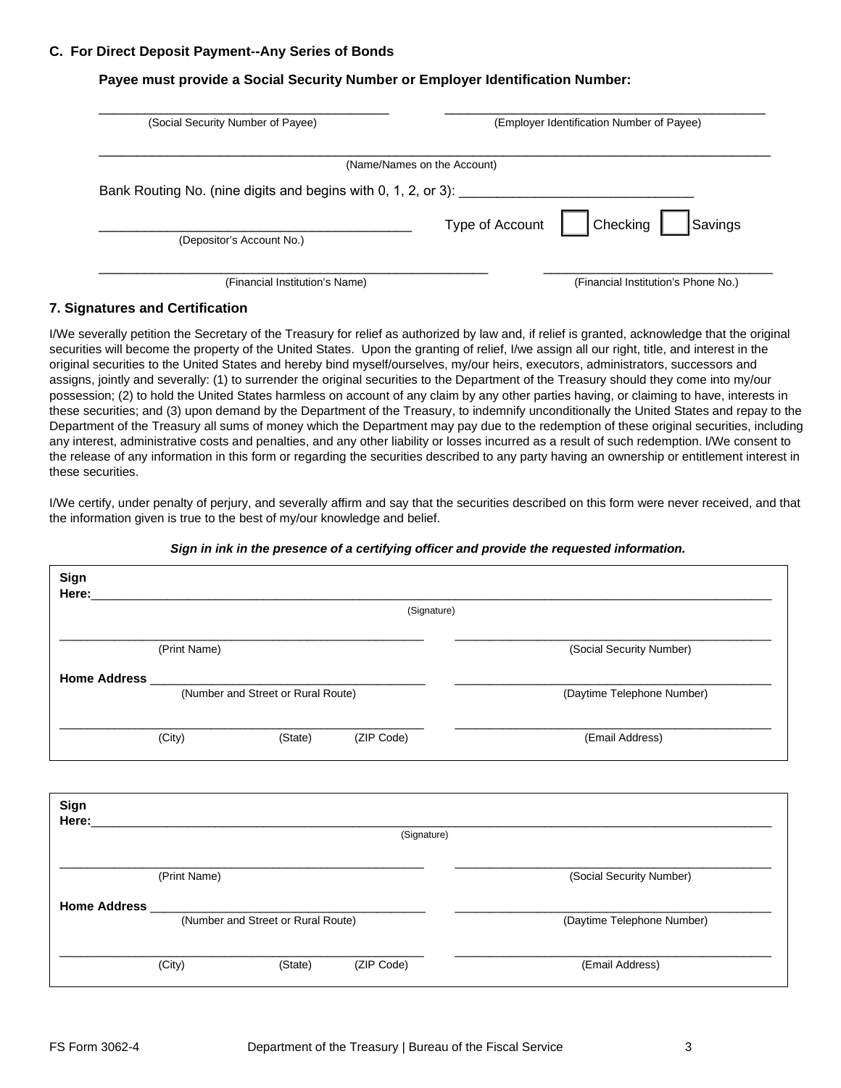## **C. For Direct Deposit Payment--Any Series of Bonds**

# **Payee must provide a Social Security Number or Employer Identification Number:**

| (Social Security Number of Payee)                             | (Employer Identification Number of Payee) |  |  |  |
|---------------------------------------------------------------|-------------------------------------------|--|--|--|
|                                                               | (Name/Names on the Account)               |  |  |  |
| Bank Routing No. (nine digits and begins with 0, 1, 2, or 3): |                                           |  |  |  |
| (Depositor's Account No.)                                     | Checking<br>Type of Account<br>Savings    |  |  |  |
|                                                               |                                           |  |  |  |

## **7. Signatures and Certification**

I/We severally petition the Secretary of the Treasury for relief as authorized by law and, if relief is granted, acknowledge that the original securities will become the property of the United States. Upon the granting of relief, I/we assign all our right, title, and interest in the original securities to the United States and hereby bind myself/ourselves, my/our heirs, executors, administrators, successors and assigns, jointly and severally: (1) to surrender the original securities to the Department of the Treasury should they come into my/our possession; (2) to hold the United States harmless on account of any claim by any other parties having, or claiming to have, interests in these securities; and (3) upon demand by the Department of the Treasury, to indemnify unconditionally the United States and repay to the Department of the Treasury all sums of money which the Department may pay due to the redemption of these original securities, including any interest, administrative costs and penalties, and any other liability or losses incurred as a result of such redemption. I/We consent to the release of any information in this form or regarding the securities described to any party having an ownership or entitlement interest in these securities.

I/We certify, under penalty of perjury, and severally affirm and say that the securities described on this form were never received, and that the information given is true to the best of my/our knowledge and belief.

|      |              |                                    | (Signature) |                            |
|------|--------------|------------------------------------|-------------|----------------------------|
|      | (Print Name) |                                    |             | (Social Security Number)   |
|      |              | (Number and Street or Rural Route) |             |                            |
|      |              |                                    |             | (Daytime Telephone Number) |
|      | (City)       | (State)                            | (ZIP Code)  | (Email Address)            |
| Sign |              |                                    |             |                            |
|      |              |                                    | (Signature) |                            |
|      | (Print Name) |                                    |             | (Social Security Number)   |
|      |              | (Number and Street or Rural Route) |             | (Daytime Telephone Number) |
|      |              |                                    |             |                            |

## *Sign in ink in the presence of a certifying officer and provide the requested information.*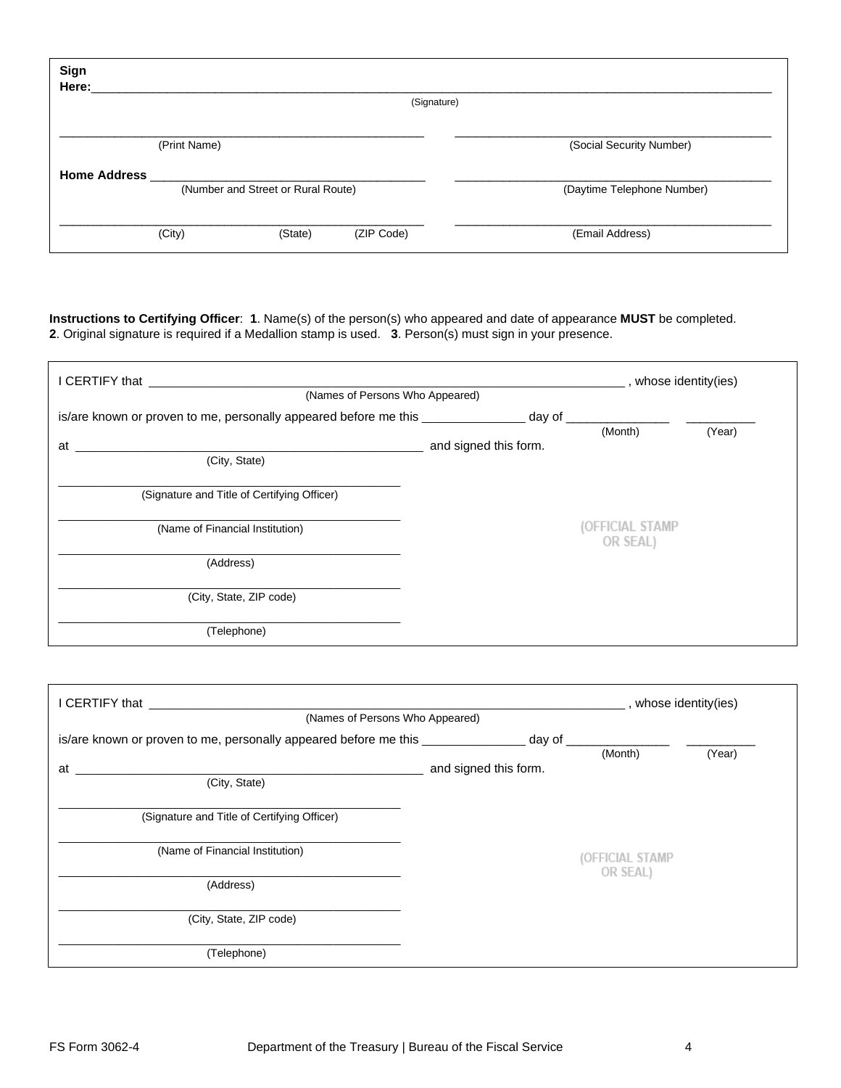| Sign<br>Here:       |                                    |         | (Signature) |                            |
|---------------------|------------------------------------|---------|-------------|----------------------------|
|                     | (Print Name)                       |         |             | (Social Security Number)   |
| <b>Home Address</b> | (Number and Street or Rural Route) |         |             | (Daytime Telephone Number) |
|                     | (City)                             | (State) | (ZIP Code)  | (Email Address)            |

**Instructions to Certifying Officer**: **1**. Name(s) of the person(s) who appeared and date of appearance **MUST** be completed. **2**. Original signature is required if a Medallion stamp is used. **3**. Person(s) must sign in your presence.

| I CERTIFY that <b>Example 20</b> Second that the second second that the second second that the second second second second second second second second second second second second second second second second second second second |                       | , whose identity(ies)       |        |
|-------------------------------------------------------------------------------------------------------------------------------------------------------------------------------------------------------------------------------------|-----------------------|-----------------------------|--------|
| (Names of Persons Who Appeared)                                                                                                                                                                                                     |                       |                             |        |
| is/are known or proven to me, personally appeared before me this ________________ day of                                                                                                                                            |                       |                             |        |
|                                                                                                                                                                                                                                     |                       | (Month)                     | (Year) |
| at                                                                                                                                                                                                                                  | and signed this form. |                             |        |
| (City, State)                                                                                                                                                                                                                       |                       |                             |        |
| (Signature and Title of Certifying Officer)                                                                                                                                                                                         |                       |                             |        |
| (Name of Financial Institution)                                                                                                                                                                                                     |                       | (OFFICIAL STAMP<br>OR SEAL) |        |
| (Address)                                                                                                                                                                                                                           |                       |                             |        |
| (City, State, ZIP code)                                                                                                                                                                                                             |                       |                             |        |
| (Telephone)                                                                                                                                                                                                                         |                       |                             |        |

| <b>I</b> CERTIFY that <b>EXECUTE: EXECUTE: EXECUTE: EXECUTE: EXECUTE:</b>                |                       | _, whose identity(ies) |        |
|------------------------------------------------------------------------------------------|-----------------------|------------------------|--------|
| (Names of Persons Who Appeared)                                                          |                       |                        |        |
| is/are known or proven to me, personally appeared before me this ________________ day of |                       |                        |        |
|                                                                                          |                       | (Month)                | (Year) |
| at a                                                                                     | and signed this form. |                        |        |
| (City, State)                                                                            |                       |                        |        |
| (Signature and Title of Certifying Officer)                                              |                       |                        |        |
| (Name of Financial Institution)                                                          |                       | (OFFICIAL STAMP        |        |
| (Address)                                                                                |                       | OR SEAL)               |        |
| (City, State, ZIP code)                                                                  |                       |                        |        |
| (Telephone)                                                                              |                       |                        |        |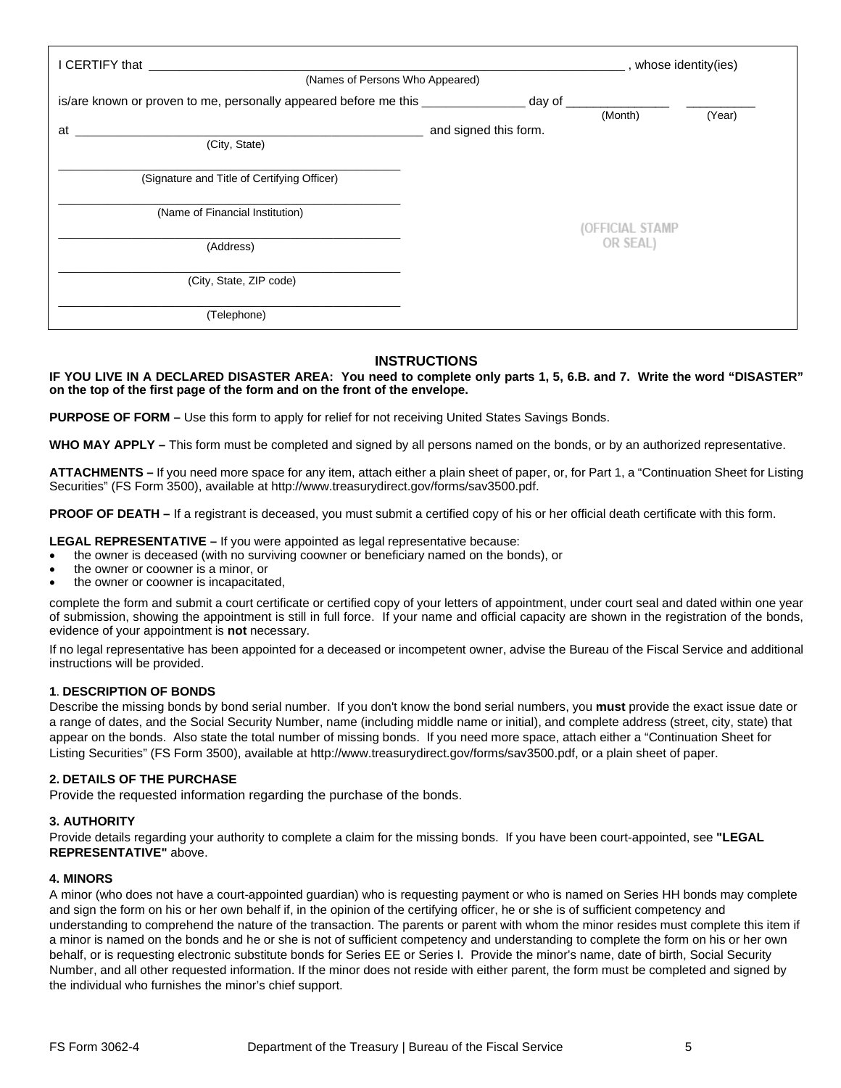| I CERTIFY that <b>was a contract of the contract of the contract of the contract of the contract of the contract of the contract of the contract of the contract of the contract of the contract of the contract of the contract</b> |                       | $\frac{1}{\sqrt{1-x}}$ , whose identity(ies) |        |
|--------------------------------------------------------------------------------------------------------------------------------------------------------------------------------------------------------------------------------------|-----------------------|----------------------------------------------|--------|
| (Names of Persons Who Appeared)                                                                                                                                                                                                      |                       |                                              |        |
| is/are known or proven to me, personally appeared before me this ________________ day of                                                                                                                                             |                       |                                              |        |
|                                                                                                                                                                                                                                      |                       | (Month)                                      | (Year) |
| at                                                                                                                                                                                                                                   | and signed this form. |                                              |        |
| (City, State)                                                                                                                                                                                                                        |                       |                                              |        |
| (Signature and Title of Certifying Officer)                                                                                                                                                                                          |                       |                                              |        |
| (Name of Financial Institution)                                                                                                                                                                                                      |                       | (OFFICIAL STAMP                              |        |
| (Address)                                                                                                                                                                                                                            |                       | OR SEAL)                                     |        |
| (City, State, ZIP code)                                                                                                                                                                                                              |                       |                                              |        |
| (Telephone)                                                                                                                                                                                                                          |                       |                                              |        |

## **INSTRUCTIONS**

**IF YOU LIVE IN A DECLARED DISASTER AREA: You need to complete only parts 1, 5, 6.B. and 7. Write the word "DISASTER" on the top of the first page of the form and on the front of the envelope.**

**PURPOSE OF FORM –** Use this form to apply for relief for not receiving United States Savings Bonds.

**WHO MAY APPLY –** This form must be completed and signed by all persons named on the bonds, or by an authorized representative.

**ATTACHMENTS –** If you need more space for any item, attach either a plain sheet of paper, or, for Part 1, a "Continuation Sheet for Listing Securities" (FS Form 3500), available at http://www.treasurydirect.gov/forms/sav3500.pdf.

**PROOF OF DEATH –** If a registrant is deceased, you must submit a certified copy of his or her official death certificate with this form.

**LEGAL REPRESENTATIVE –** If you were appointed as legal representative because:

- the owner is deceased (with no surviving coowner or beneficiary named on the bonds), or
- the owner or coowner is a minor, or
- the owner or coowner is incapacitated,

complete the form and submit a court certificate or certified copy of your letters of appointment, under court seal and dated within one year of submission, showing the appointment is still in full force. If your name and official capacity are shown in the registration of the bonds, evidence of your appointment is **not** necessary.

If no legal representative has been appointed for a deceased or incompetent owner, advise the Bureau of the Fiscal Service and additional instructions will be provided.

#### **1**. **DESCRIPTION OF BONDS**

Describe the missing bonds by bond serial number. If you don't know the bond serial numbers, you **must** provide the exact issue date or a range of dates, and the Social Security Number, name (including middle name or initial), and complete address (street, city, state) that appear on the bonds. Also state the total number of missing bonds. If you need more space, attach either a "Continuation Sheet for Listing Securities" (FS Form 3500), available at http://www.treasurydirect.gov/forms/sav3500.pdf, or a plain sheet of paper.

#### **2. DETAILS OF THE PURCHASE**

Provide the requested information regarding the purchase of the bonds.

#### **3. AUTHORITY**

Provide details regarding your authority to complete a claim for the missing bonds. If you have been court-appointed, see **"LEGAL REPRESENTATIVE"** above.

#### **4. MINORS**

A minor (who does not have a court-appointed guardian) who is requesting payment or who is named on Series HH bonds may complete and sign the form on his or her own behalf if, in the opinion of the certifying officer, he or she is of sufficient competency and understanding to comprehend the nature of the transaction. The parents or parent with whom the minor resides must complete this item if a minor is named on the bonds and he or she is not of sufficient competency and understanding to complete the form on his or her own behalf, or is requesting electronic substitute bonds for Series EE or Series I. Provide the minor's name, date of birth, Social Security Number, and all other requested information. If the minor does not reside with either parent, the form must be completed and signed by the individual who furnishes the minor's chief support.